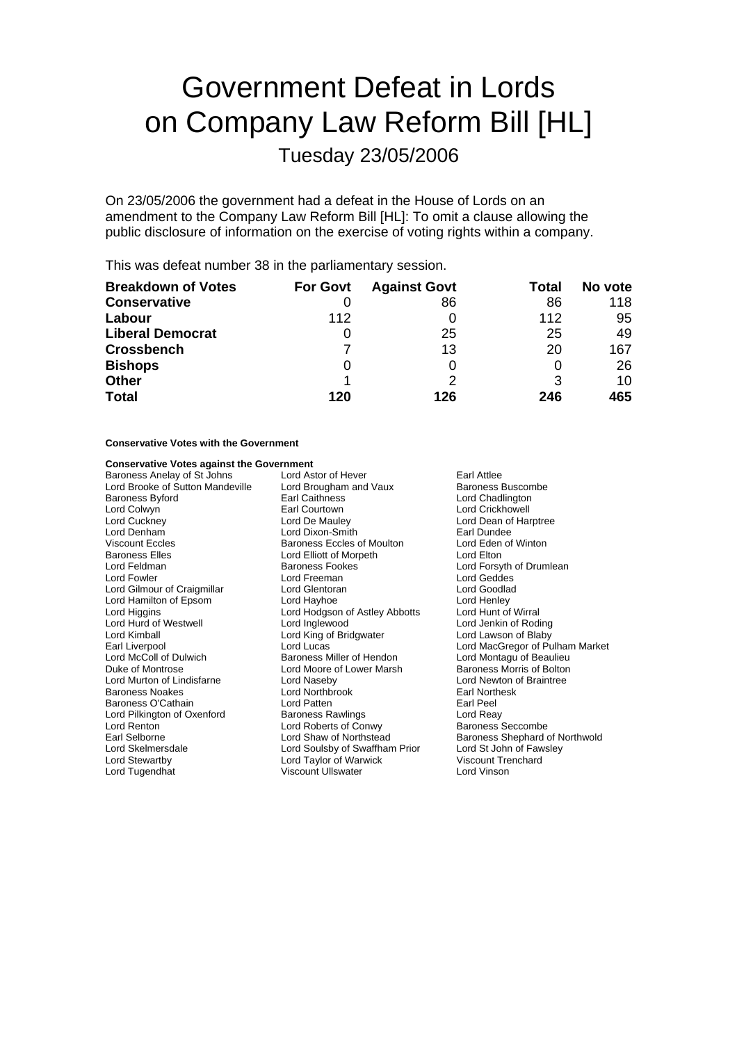# Government Defeat in Lords on Company Law Reform Bill [HL]

Tuesday 23/05/2006

On 23/05/2006 the government had a defeat in the House of Lords on an amendment to the Company Law Reform Bill [HL]: To omit a clause allowing the public disclosure of information on the exercise of voting rights within a company.

This was defeat number 38 in the parliamentary session.

| <b>Breakdown of Votes</b> | <b>For Govt</b> | <b>Against Govt</b> | Total | No vote |
|---------------------------|-----------------|---------------------|-------|---------|
| <b>Conservative</b>       |                 | 86                  | 86    | 118     |
| Labour                    | 112             |                     | 112   | 95      |
| <b>Liberal Democrat</b>   | O               | 25                  | 25    | 49      |
| <b>Crossbench</b>         |                 | 13                  | 20    | 167     |
| <b>Bishops</b>            | 0               |                     |       | 26      |
| <b>Other</b>              |                 |                     | 3     | 10      |
| <b>Total</b>              | 120             | 126                 | 246   | 465     |

### **Conservative Votes with the Government**

### **Conservative Votes against the Government**

| Baroness Anelay of St Johns      | Lord Astor of Hever<br>Earl Attlee |                                 |  |
|----------------------------------|------------------------------------|---------------------------------|--|
| Lord Brooke of Sutton Mandeville | Lord Brougham and Vaux             | Baroness Buscombe               |  |
| <b>Baroness Byford</b>           | <b>Earl Caithness</b>              | Lord Chadlington                |  |
| Lord Colwyn                      | Earl Courtown                      | Lord Crickhowell                |  |
| Lord Cuckney                     | Lord De Mauley                     | Lord Dean of Harptree           |  |
| Lord Denham                      | Lord Dixon-Smith                   | Earl Dundee                     |  |
| <b>Viscount Eccles</b>           | Baroness Eccles of Moulton         | Lord Eden of Winton             |  |
| <b>Baroness Elles</b>            | Lord Elliott of Morpeth            | Lord Elton                      |  |
| Lord Feldman                     | <b>Baroness Fookes</b>             | Lord Forsyth of Drumlean        |  |
| Lord Fowler                      | Lord Freeman                       | Lord Geddes                     |  |
| Lord Gilmour of Craigmillar      | Lord Glentoran                     | Lord Goodlad                    |  |
| Lord Hamilton of Epsom           | Lord Hayhoe                        | Lord Henley                     |  |
| Lord Higgins                     | Lord Hodgson of Astley Abbotts     | Lord Hunt of Wirral             |  |
| Lord Hurd of Westwell            | Lord Inglewood                     | Lord Jenkin of Roding           |  |
| Lord Kimball                     | Lord King of Bridgwater            | Lord Lawson of Blaby            |  |
| Earl Liverpool                   | Lord Lucas                         | Lord MacGregor of Pulham Market |  |
| Lord McColl of Dulwich           | Baroness Miller of Hendon          | Lord Montagu of Beaulieu        |  |
| Duke of Montrose                 | Lord Moore of Lower Marsh          | Baroness Morris of Bolton       |  |
| Lord Murton of Lindisfarne       | Lord Naseby                        | Lord Newton of Braintree        |  |
| Baroness Noakes                  | Lord Northbrook                    | Earl Northesk                   |  |
| Baroness O'Cathain               | Lord Patten                        | Earl Peel                       |  |
| Lord Pilkington of Oxenford      | <b>Baroness Rawlings</b>           | Lord Reay                       |  |
| Lord Renton                      | Lord Roberts of Conwy              | <b>Baroness Seccombe</b>        |  |
| Earl Selborne                    | Lord Shaw of Northstead            | Baroness Shephard of Northwold  |  |
| Lord Skelmersdale                | Lord Soulsby of Swaffham Prior     | Lord St John of Fawsley         |  |
| Lord Stewartby                   | Lord Taylor of Warwick             | Viscount Trenchard              |  |
| Lord Tugendhat                   | Viscount Ullswater                 | Lord Vinson                     |  |
|                                  |                                    |                                 |  |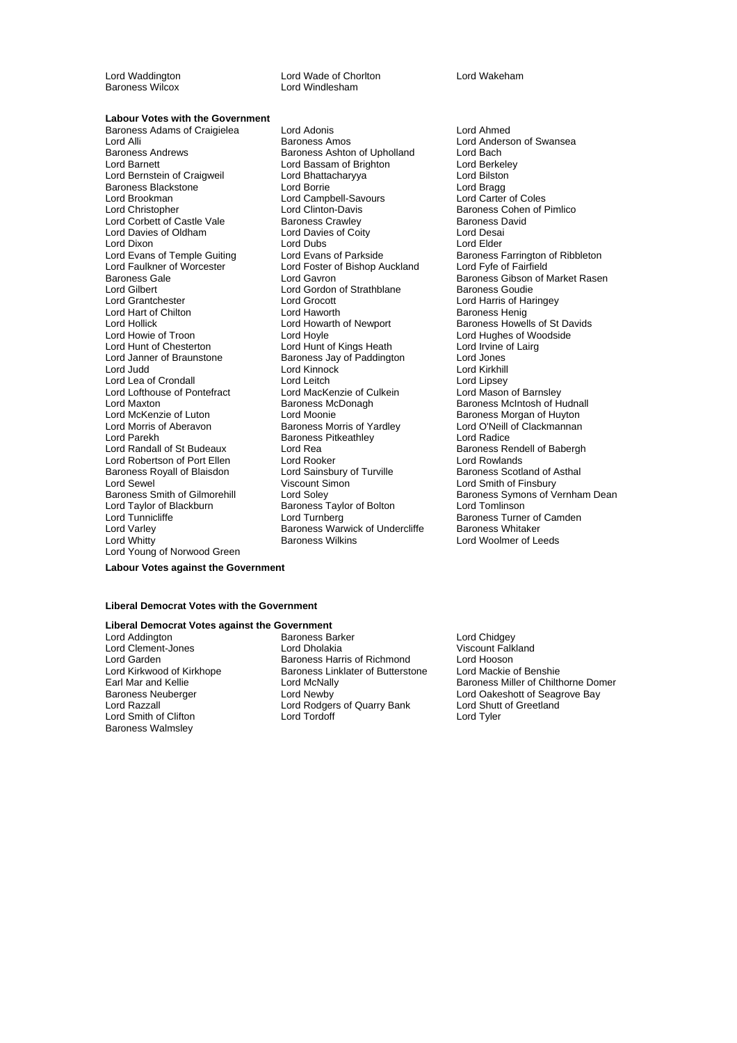Baroness Wilcox

Lord Waddington Lord Wade of Chorlton Lord Wakeham

### **Labour Votes with the Government**

Baroness Adams of Craigielea Lord Adonis Lord Anned Lord Alli **Example 20 Extraches Amos** Lord Anderson of Swansea<br>Baroness Andrews **Baroness Ashton of Upholland** Lord Bach Baroness Andrews **Baroness Ashton of Upholland** Lord Bach<br>
Lord Barnett Lord Bach Lord Bassam of Brighton **Lord Bach Lord Bach Lord Bach Lord B**ach Lord Berkelev Lord Bernstein of Craigweil **Lord Bhattacharyya** Lord Bilston Baroness Blackstone The Lord Borrie Corrie Corrie Lord Bragg<br>
Lord Brookman Corrie Lord Campbell-Savours Lord Carter of Coles Lord Brookman Lord Campbell-Savours<br>
Lord Christopher Cord Clinton-Davis Lord Corbett of Castle Vale Baroness Crawley Baroness David<br>
Lord Davies of Oldham<br>
Lord Davies of Coity Lord Desai Lord Davies of Oldham Lord Davies of Coity Lord Desai Lord Dixon Lord Dubs Lord Elder Lord Evans of Temple Guiting Lord Evans of Parkside Baroness Farrington of Ribbleton Lord Faulkner of Worcester The Lord Foster of Bishop Auckland Lord Fyfe of Fairfield<br>Baroness Gale Cord Gavron Lord Gavron Baroness Gibson of I Lord Grantchester Lord Grocott Lord Harris of Haringey Lord Hart of Chilton **Chilton Constructs** Lord Haworth **Baroness Henig**<br>
Lord Howarth of Newport **Baroness Howel** Lord Hollick Lord Howarth of Newport Baroness Howells of St Davids<br>
Lord Hove Lord Hove Lord Hughes of Woodside<br>
Lord Hughes of Woodside Lord Hunt of Chesterton Lord Hunt of Kings Heath Lord Irvine Cord Irvine<br>
Lord Janner of Braunstone Baroness Jay of Paddington Lord Jones Lord Janner of Braunstone **Baroness Jay of Paddington** Lord Jones<br>Lord Judd **Baroness Lord Kinnock** Cord Kinnock Lord Lea of Crondall **Lord Lea of Crondall**<br>
Lord Lord Lofthouse of Pontefract Lord MacKenzie of Culkein Lord Mason of Barnsley Lord Lofthouse of Pontefract Lord MacKenzie of Culkein<br>
Lord Maxton **Carlo Baron Carlo Baron Contents** Lord Maxton **Baroness McDonagh** Baroness McDonagh Baroness McIntosh of Hudnall<br>
Lord McKenzie of Luton **Baroness McCanness McCanness McCanness** Morgan of Huyton Lord McKenzie of Luton Lord Moonie<br>
Lord Morris of Aberavon Baroness Morris of Yardley Lord O'Neill of Clackmannan Lord Parekh **Baroness Pitkeathley** Lord Radice<br>
Lord Randall of St Budeaux Lord Rea Lord Rea Baroness Re Lord Robertson of Port Ellen<br>
Baroness Royall of Blaisdon<br>
Lord Sainsbury of Turville Baroness Royall of Blaisdon **Carolic Studie Example 2** Cord Sainsbury of Turville Baroness Scotland of Asthal<br>
Lord Sewel Cord Smith of Finsbury Lord Sewel Viscount Simon Lord Smith of Finsbury Lord Tunnicliffe Lord Turnberg Baroness Turner of Camden<br>Lord Varley Baroness Warwick of Undercliffe Baroness Whitaker Lord Varley **Baroness Warwick of Undercliffe**<br> **Lord Whitty** Baroness Wilkins Lord Young of Norwood Green

Lord Bassam of Brighton<br>Lord Bhattacharyya Lord Gordon of Strathblane Lord Kinnock Lord Kirkhill<br>
Lord Leitch Lord Lipsey Lord Rea The State Baroness Rendell of Babergh<br>
Lord Rooker<br>
Lord Rowlands Baroness Taylor of Bolton

Baroness Cohen of Pimlico Baroness Gale **Report Constructs Careform Constructs** Baroness Gibson of Market Rasen<br>
Lord Gilbert **Baroness Goudie**<br>
Lord Gilbert **Baroness Goudie** Lord Hughes of Woodside<br>Lord Irvine of Lairg Lord O'Neill of Clackmannan Baroness Smith of Gilmorehill Lord Soley Baroness Symons of Vernham Dean<br>
Lord Taylor of Blackburn Baroness Taylor of Bolton Lord Tomlinson Lord Woolmer of Leeds

### **Labour Votes against the Government**

#### **Liberal Democrat Votes with the Government**

### **Liberal Democrat Votes against the Government**<br>Lord Addington **Ration** Baroness Ba

Lord Clement-Jones Lord Smith of Clifton Baroness Walmsley

Earoness Barker **Communist Constructs** Lord Chidgey<br>
Lord Dholakia Lord Chidgey<br>
Uiscount Falkland Lord Garden **Baroness Harris of Richmond** Lord Hooson<br>
Lord Kirkwood of Kirkhope **Baroness Linklater of Butterstone** Lord Mackie of Benshie Lord Kirkwood of Kirkhope Baroness Linklater of Butterstone<br>Earl Mar and Kellie **Baroness** Lord McNally Baroness Neuberger Lord Newby Lord Oakeshott of Seagrove Bay Lord Razzall Lord Rodgers of Quarry Bank Lord Shutt of Greetland

Baroness Miller of Chilthorne Domer